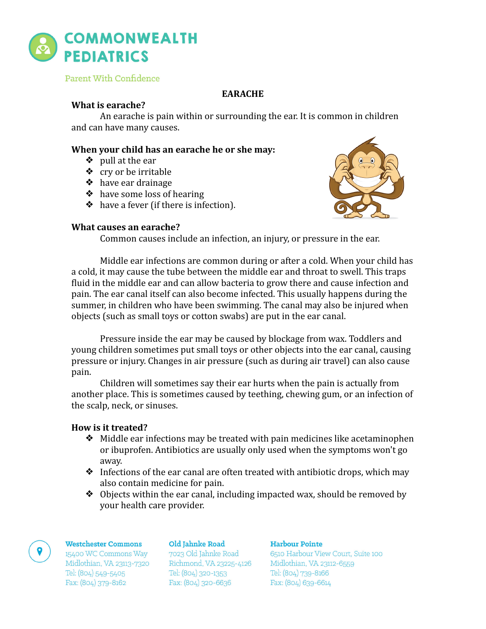

Parent With Confidence

# **EARACHE**

# **What is earache?**

An earache is pain within or surrounding the ear. It is common in children and can have many causes.

# **When your child has an earache he or she may:**

- $\diamond$  pull at the ear
- ❖ cry or be irritable
- $\triangle$  have ear drainage
- $\triangleleft$  have some loss of hearing
- $\bullet$  have a fever (if there is infection).



## **What causes an earache?**

Common causes include an infection, an injury, or pressure in the ear.

Middle ear infections are common during or after a cold. When your child has a cold, it may cause the tube between the middle ear and throat to swell. This traps fluid in the middle ear and can allow bacteria to grow there and cause infection and pain. The ear canal itself can also become infected. This usually happens during the summer, in children who have been swimming. The canal may also be injured when objects (such as small toys or cotton swabs) are put in the ear canal.

Pressure inside the ear may be caused by blockage from wax. Toddlers and young children sometimes put small toys or other objects into the ear canal, causing pressure or injury. Changes in air pressure (such as during air travel) can also cause pain. 

Children will sometimes say their ear hurts when the pain is actually from another place. This is sometimes caused by teething, chewing gum, or an infection of the scalp, neck, or sinuses.

# **How is it treated?**

- $\bullet$  Middle ear infections may be treated with pain medicines like acetaminophen or ibuprofen. Antibiotics are usually only used when the symptoms won't go away.
- $\triangleleft$  Infections of the ear canal are often treated with antibiotic drops, which may also contain medicine for pain.
- $\bullet$  Objects within the ear canal, including impacted wax, should be removed by your health care provider.

## Westchester Commons

15400 WC Commons Way Midlothian, VA 23113-7320 Tel: (804) 549-5405 Fax: (804) 379-8162

## Old Jahnke Road

7023 Old Jahnke Road Richmond, VA 23225-4126 Tel: (804) 320-1353 Fax: (804) 320-6636

## Harbour Pointe

6510 Harbour View Court, Suite 100 Midlothian, VA 23112-6559 Tel: (804) 739-8166 Fax: (804) 639-6614